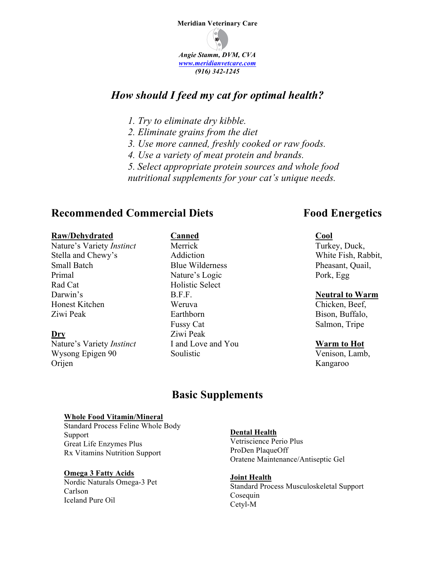

# *How should I feed my cat for optimal health?*

- *1. Try to eliminate dry kibble.*
- *2. Eliminate grains from the diet*
- *3. Use more canned, freshly cooked or raw foods.*
- *4. Use a variety of meat protein and brands.*
- *5. Select appropriate protein sources and whole food*

*nutritional supplements for your cat's unique needs.*

## **Recommended Commercial Diets** Food Energetics

#### **Raw/Dehydrated**

Nature's Variety *Instinct* Stella and Chewy's Small Batch Primal Rad Cat Darwin's Honest Kitchen Ziwi Peak

**Dry** Nature's Variety *Instinct* Wysong Epigen 90 Orijen

## **Canned**

Merrick Addiction Blue Wilderness Nature's Logic Holistic Select B.F.F. Weruva Earthborn Fussy Cat Ziwi Peak I and Love and You Soulistic

#### **Cool**

Turkey, Duck, White Fish, Rabbit, Pheasant, Quail, Pork, Egg

## **Neutral to Warm**

Chicken, Beef, Bison, Buffalo, Salmon, Tripe

## **Warm to Hot**

Venison, Lamb, Kangaroo

# **Basic Supplements**

#### **Whole Food Vitamin/Mineral**

Standard Process Feline Whole Body Support Great Life Enzymes Plus Rx Vitamins Nutrition Support

## **Omega 3 Fatty Acids**

Nordic Naturals Omega-3 Pet Carlson Iceland Pure Oil

## **Dental Health**

Vetriscience Perio Plus ProDen PlaqueOff Oratene Maintenance/Antiseptic Gel

**Joint Health** Standard Process Musculoskeletal Support Cosequin Cetyl-M